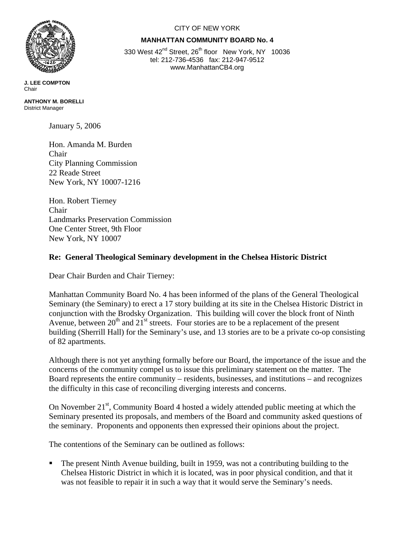

**J. LEE COMPTON**  Chair

**ANTHONY M. BORELLI**  District Manager

January 5, 2006

Hon. Amanda M. Burden Chair City Planning Commission 22 Reade Street New York, NY 10007-1216

Hon. Robert Tierney Chair Landmarks Preservation Commission One Center Street, 9th Floor New York, NY 10007

## **Re: General Theological Seminary development in the Chelsea Historic District**

Dear Chair Burden and Chair Tierney:

Manhattan Community Board No. 4 has been informed of the plans of the General Theological Seminary (the Seminary) to erect a 17 story building at its site in the Chelsea Historic District in conjunction with the Brodsky Organization. This building will cover the block front of Ninth Avenue, between  $20<sup>th</sup>$  and  $21<sup>st</sup>$  streets. Four stories are to be a replacement of the present building (Sherrill Hall) for the Seminary's use, and 13 stories are to be a private co-op consisting of 82 apartments.

Although there is not yet anything formally before our Board, the importance of the issue and the concerns of the community compel us to issue this preliminary statement on the matter. The Board represents the entire community – residents, businesses, and institutions – and recognizes the difficulty in this case of reconciling diverging interests and concerns.

On November 21<sup>st</sup>, Community Board 4 hosted a widely attended public meeting at which the Seminary presented its proposals, and members of the Board and community asked questions of the seminary. Proponents and opponents then expressed their opinions about the project.

The contentions of the Seminary can be outlined as follows:

 The present Ninth Avenue building, built in 1959, was not a contributing building to the Chelsea Historic District in which it is located, was in poor physical condition, and that it was not feasible to repair it in such a way that it would serve the Seminary's needs.

## CITY OF NEW YORK

## **MANHATTAN COMMUNITY BOARD No. 4**

330 West 42<sup>nd</sup> Street, 26<sup>th</sup> floor New York, NY 10036 tel: 212-736-4536 fax: 212-947-9512 www.ManhattanCB4.org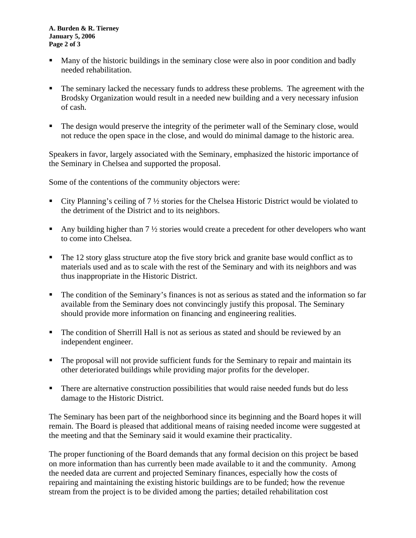**A. Burden & R. Tierney January 5, 2006 Page 2 of 3** 

- Many of the historic buildings in the seminary close were also in poor condition and badly needed rehabilitation.
- The seminary lacked the necessary funds to address these problems. The agreement with the Brodsky Organization would result in a needed new building and a very necessary infusion of cash.
- The design would preserve the integrity of the perimeter wall of the Seminary close, would not reduce the open space in the close, and would do minimal damage to the historic area.

Speakers in favor, largely associated with the Seminary, emphasized the historic importance of the Seminary in Chelsea and supported the proposal.

Some of the contentions of the community objectors were:

- City Planning's ceiling of 7 ½ stories for the Chelsea Historic District would be violated to the detriment of the District and to its neighbors.
- Any building higher than 7 ½ stories would create a precedent for other developers who want to come into Chelsea.
- The 12 story glass structure atop the five story brick and granite base would conflict as to materials used and as to scale with the rest of the Seminary and with its neighbors and was thus inappropriate in the Historic District.
- The condition of the Seminary's finances is not as serious as stated and the information so far available from the Seminary does not convincingly justify this proposal. The Seminary should provide more information on financing and engineering realities.
- The condition of Sherrill Hall is not as serious as stated and should be reviewed by an independent engineer.
- The proposal will not provide sufficient funds for the Seminary to repair and maintain its other deteriorated buildings while providing major profits for the developer.
- **There are alternative construction possibilities that would raise needed funds but do less** damage to the Historic District.

The Seminary has been part of the neighborhood since its beginning and the Board hopes it will remain. The Board is pleased that additional means of raising needed income were suggested at the meeting and that the Seminary said it would examine their practicality.

The proper functioning of the Board demands that any formal decision on this project be based on more information than has currently been made available to it and the community. Among the needed data are current and projected Seminary finances, especially how the costs of repairing and maintaining the existing historic buildings are to be funded; how the revenue stream from the project is to be divided among the parties; detailed rehabilitation cost